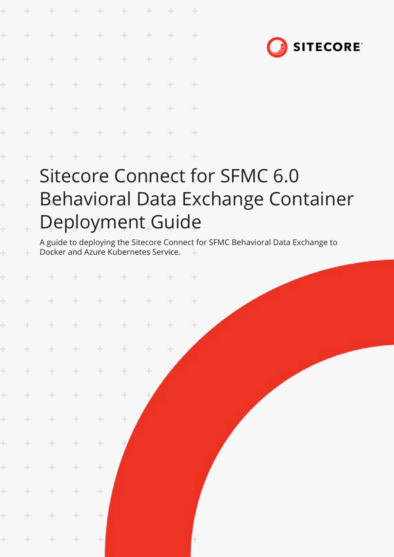| ÷.    |     | * * * * * * * * |  |  |                               |
|-------|-----|-----------------|--|--|-------------------------------|
| $\pm$ |     | + + + + + + +   |  |  |                               |
| $+$   |     | * * * * * * * * |  |  | SITECORE                      |
| ÷     |     | + + + + + + + + |  |  |                               |
| $+$   |     | + + + + + + + + |  |  |                               |
| ÷     |     | + + + + + + +   |  |  |                               |
| ÷.    |     | * * * * * * * * |  |  |                               |
| ÷     | — — |                 |  |  | Sitecore Connect for SFMC 6.0 |

### Behavioral Data Exchange Container  $\downarrow$ Deployment Guide  $\frac{1}{2}$

÷

÷

÷

÷

A guide to deploying the Sitecore Connect for SFMC Behavioral Data Exchange to Docker and Azure Kubernetes Service.÷.

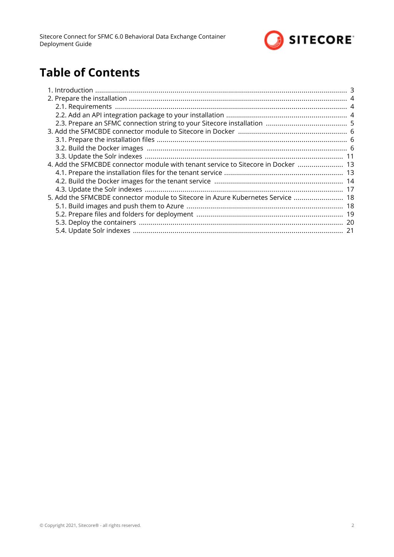

# **Table of Contents**

| 4. Add the SFMCBDE connector module with tenant service to Sitecore in Docker  13 |  |
|-----------------------------------------------------------------------------------|--|
|                                                                                   |  |
|                                                                                   |  |
|                                                                                   |  |
| 5. Add the SFMCBDE connector module to Sitecore in Azure Kubernetes Service  18   |  |
|                                                                                   |  |
|                                                                                   |  |
|                                                                                   |  |
|                                                                                   |  |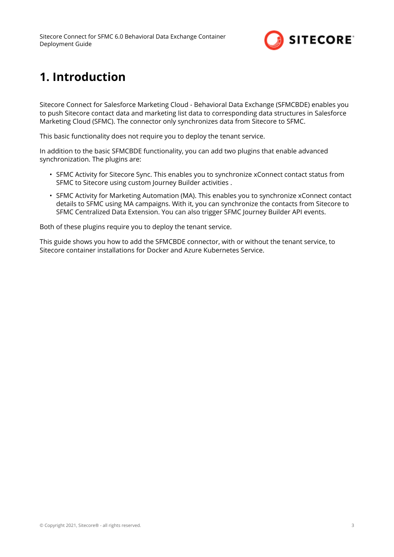

# <span id="page-2-0"></span>**1. Introduction**

Sitecore Connect for Salesforce Marketing Cloud - Behavioral Data Exchange (SFMCBDE) enables you to push Sitecore contact data and marketing list data to corresponding data structures in Salesforce Marketing Cloud (SFMC). The connector only synchronizes data from Sitecore to SFMC.

This basic functionality does not require you to deploy the tenant service.

In addition to the basic SFMCBDE functionality, you can add two plugins that enable advanced synchronization. The plugins are:

- SFMC Activity for Sitecore Sync. This enables you to synchronize xConnect contact status from SFMC to Sitecore using custom Journey Builder activities .
- SFMC Activity for Marketing Automation (MA). This enables you to synchronize xConnect contact details to SFMC using MA campaigns. With it, you can synchronize the contacts from Sitecore to SFMC Centralized Data Extension. You can also trigger SFMC Journey Builder API events.

Both of these plugins require you to deploy the tenant service.

This guide shows you how to add the SFMCBDE connector, with or without the tenant service, to Sitecore container installations for Docker and Azure Kubernetes Service.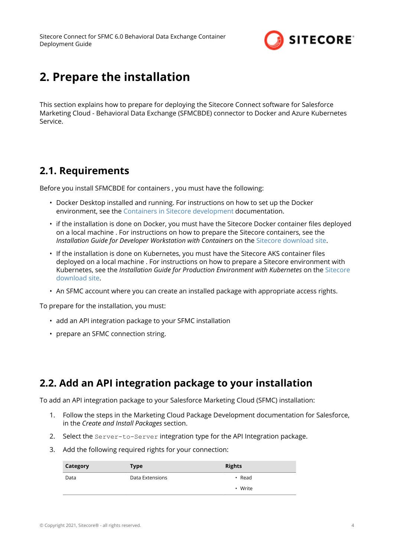

# <span id="page-3-0"></span>**2. Prepare the installation**

This section explains how to prepare for deploying the Sitecore Connect software for Salesforce Marketing Cloud - Behavioral Data Exchange (SFMCBDE) connector to Docker and Azure Kubernetes Service.

### **2.1. Requirements**

Before you install SFMCBDE for containers , you must have the following:

- Docker Desktop installed and running. For instructions on how to set up the Docker environment, see the [Containers in Sitecore development](https://doc.sitecore.com/developers/101/developer-tools/en/set-up-the-environment.html) documentation.
- if the installation is done on Docker, you must have the Sitecore Docker container files deployed on a local machine . For instructions on how to prepare the Sitecore containers, see the *Installation Guide for Developer Workstation with Containers* on the [Sitecore download site](https://dev.sitecore.net/Downloads/Sitecore_Experience_Platform/101/Sitecore_Experience_Platform_101.aspx).
- If the installation is done on Kubernetes, you must have the Sitecore AKS container files deployed on a local machine . For instructions on how to prepare a Sitecore environment with Kubernetes, see the *Installation Guide for Production Environment with Kubernetes* on the [Sitecore](https://dev.sitecore.net/Downloads/Sitecore_Experience_Platform/101/Sitecore_Experience_Platform_101.aspx) [download site](https://dev.sitecore.net/Downloads/Sitecore_Experience_Platform/101/Sitecore_Experience_Platform_101.aspx).
- An SFMC account where you can create an installed package with appropriate access rights.

To prepare for the installation, you must:

- add an API integration package to your SFMC installation
- prepare an SFMC connection string.

### **2.2. Add an API integration package to your installation**

To add an API integration package to your Salesforce Marketing Cloud (SFMC) installation:

- 1. Follow the steps in the Marketing Cloud Package Development documentation for Salesforce, in the *Create and Install Packages* section.
- 2. Select the Server-to-Server integration type for the API Integration package.
- 3. Add the following required rights for your connection:

| Category | <b>Type</b>     | <b>Rights</b> |
|----------|-----------------|---------------|
| Data     | Data Extensions | $\cdot$ Read  |
|          |                 | • Write       |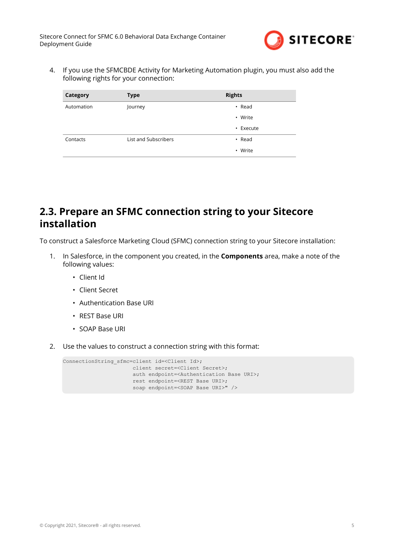

<span id="page-4-0"></span>4. If you use the SFMCBDE Activity for Marketing Automation plugin, you must also add the following rights for your connection:

| <b>Category</b> | <b>Type</b>          | <b>Rights</b> |
|-----------------|----------------------|---------------|
| Automation      | Journey              | $\cdot$ Read  |
|                 |                      | • Write       |
|                 |                      | • Execute     |
| Contacts        | List and Subscribers | $\cdot$ Read  |
|                 |                      | • Write       |

## **2.3. Prepare an SFMC connection string to your Sitecore installation**

To construct a Salesforce Marketing Cloud (SFMC) connection string to your Sitecore installation:

- 1. In Salesforce, in the component you created, in the **Components** area, make a note of the following values:
	- Client Id
	- Client Secret
	- Authentication Base URI
	- REST Base URI
	- SOAP Base URI
- 2. Use the values to construct a connection string with this format:

```
ConnectionString_sfmc=client id=<Client Id>;
                       client secret=<Client Secret>;
                       auth endpoint=<Authentication Base URI>;
                       rest endpoint=<REST Base URI>;
                       soap endpoint=<SOAP Base URI>" />
```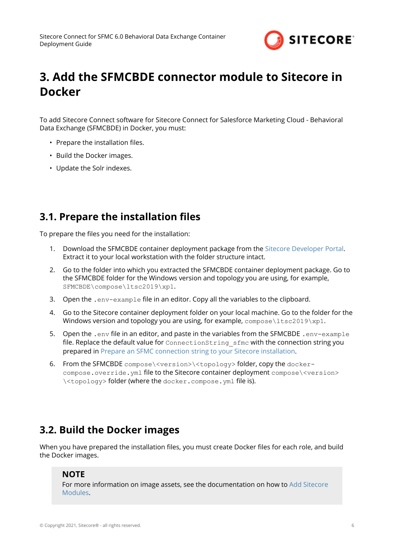

# <span id="page-5-0"></span>**3. Add the SFMCBDE connector module to Sitecore in Docker**

To add Sitecore Connect software for Sitecore Connect for Salesforce Marketing Cloud - Behavioral Data Exchange (SFMCBDE) in Docker, you must:

- Prepare the installation files.
- Build the Docker images.
- Update the Solr indexes.

## **3.1. Prepare the installation files**

To prepare the files you need for the installation:

- 1. Download the SFMCBDE container deployment package from the [Sitecore Developer Portal](https://dev.sitecore.net/). Extract it to your local workstation with the folder structure intact.
- 2. Go to the folder into which you extracted the SFMCBDE container deployment package. Go to the SFMCBDE folder for the Windows version and topology you are using, for example, SFMCBDE\compose\ltsc2019\xp1.
- 3. Open the .env-example file in an editor. Copy all the variables to the clipboard.
- 4. Go to the Sitecore container deployment folder on your local machine. Go to the folder for the Windows version and topology you are using, for example,  $\text{compare} \ltimes 2019\x$
- 5. Open the .  $env$  file in an editor, and paste in the variables from the SFMCBDE .  $env$ - $ex$ ample file. Replace the default value for ConnectionString sfmc with the connection string you prepared in [Prepare an SFMC connection string to your Sitecore installation.](#page-4-0)
- 6. From the SFMCBDE compose\<version>\<topology> folder, copy the dockercompose.override.yml file to the Sitecore container deployment compose\<version> \<topology> folder (where the docker.compose.yml file is).

## **3.2. Build the Docker images**

When you have prepared the installation files, you must create Docker files for each role, and build the Docker images.

#### **NOTE**

For more information on image assets, see the documentation on how to [Add Sitecore](https://doc.sitecore.com/developers/101/developer-tools/en/add-sitecore-modules.html) [Modules](https://doc.sitecore.com/developers/101/developer-tools/en/add-sitecore-modules.html).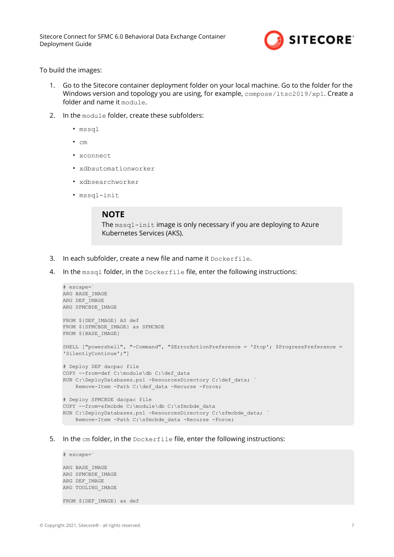

To build the images:

- 1. Go to the Sitecore container deployment folder on your local machine. Go to the folder for the Windows version and topology you are using, for example, compose/ltsc2019/xp1. Create a folder and name it module.
- 2. In the module folder, create these subfolders:
	- mssql
	- cm
	- xconnect
	- xdbautomationworker
	- xdbsearchworker
	- mssql-init

#### **NOTE**

The mssql-init image is only necessary if you are deploying to Azure Kubernetes Services (AKS).

- 3. In each subfolder, create a new file and name it Dockerfile.
- 4. In the  $ms\text{sd}1$  folder, in the  $Dockerfile$  file, enter the following instructions:

```
# escape=`
ARG BASE_IMAGE
ARG DEF IMAGE
ARG SFMCBDE_IMAGE
FROM ${DEF_IMAGE} AS def
FROM ${SFMCBDE IMAGE} as SFMCBDE
FROM ${BASE IMAGE}
SHELL ["powershell", "-Command", "$ErrorActionPreference = 'Stop'; $ProgressPreference = 
'SilentlyContinue';"]
# Deploy DEF dacpac file
COPY --from=def C:\module\db C:\def_data
RUN C:\DeployDatabases.ps1 -ResourcesDirectory C:\def_data; `
    Remove-Item -Path C:\def_data -Recurse -Force;
# Deploy SFMCBDE dacpac file
COPY --from=sfmcbde C:\module\db C:\sfmcbde_data
RUN C:\DeployDatabases.ps1 -ResourcesDirectory C:\sfmcbde data; `
   Remove-Item -Path C:\sfmcbde data -Recurse -Force;
```
5. In the cm folder, in the Dockerfile file, enter the following instructions:

# escape=` ARG BASE\_IMAGE ARG SFMCBDE\_IMAGE ARG DEF IMAGE ARG TOOLING\_IMAGE FROM \${DEF IMAGE} as def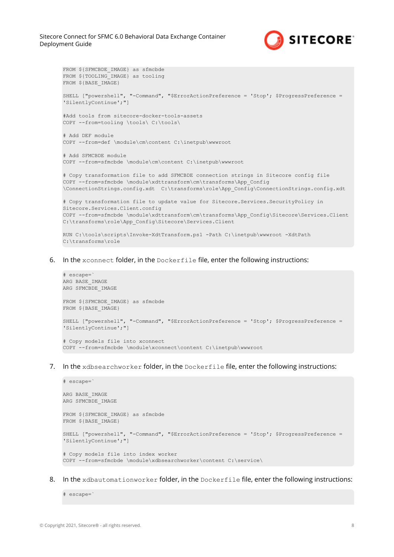

```
FROM ${SFMCBDE_IMAGE} as sfmcbde
FROM ${TOOLING IMAGE} as tooling
FROM ${BASE_IMAGE}
SHELL ["powershell", "-Command", "$ErrorActionPreference = 'Stop'; $ProgressPreference = 
'SilentlyContinue';"]
#Add tools from sitecore-docker-tools-assets
COPY --from=tooling \tools\ C:\tools\
# Add DEF module
COPY --from=def \module\cm\content C:\inetpub\wwwroot
# Add SFMCBDE module
COPY --from=sfmcbde \module\cm\content C:\inetpub\wwwroot
# Copy transformation file to add SFMCBDE connection strings in Sitecore config file 
COPY --from=sfmcbde \module\xdttransform\cm\transforms\App_Config
\ConnectionStrings.config.xdt C:\transforms\role\App_Config\ConnectionStrings.config.xdt 
# Copy transformation file to update value for Sitecore.Services.SecurityPolicy in 
Sitecore.Services.Client.config 
COPY --from=sfmcbde \module\xdttransform\cm\transforms\App_Config\Sitecore\Services.Client 
C:\transforms\role\App_Config\Sitecore\Services.Client 
RUN C:\tools\scripts\Invoke-XdtTransform.ps1 -Path C:\inetpub\wwwroot -XdtPath 
C:\transforms\role
```

```
6. In the xconnect folder, in the Doker file, enter the following instructions:
```

```
# escape=`
ARG BASE_IMAGE
ARG SFMCBDE_IMAGE
FROM ${SFMCBDE IMAGE} as sfmcbde
FROM ${BASE IMAGE}
SHELL ["powershell", "-Command", "$ErrorActionPreference = 'Stop'; $ProgressPreference = 
'SilentlyContinue';"]
# Copy models file into xconnect
COPY --from=sfmcbde \module\xconnect\content C:\inetpub\wwwroot
```
7. In the xdbsearchworker folder, in the Dockerfile file, enter the following instructions:

```
# escape=`
ARG BASE_IMAGE
ARG SFMCBDE IMAGE
FROM ${SFMCBDE IMAGE} as sfmcbde
FROM ${BASE_IMAGE}
SHELL ["powershell", "-Command", "$ErrorActionPreference = 'Stop'; $ProgressPreference = 
'SilentlyContinue';"]
# Copy models file into index worker
COPY --from=sfmcbde \module\xdbsearchworker\content C:\service\
```
8. In the xdbautomationworker folder, in the Dockerfile file, enter the following instructions:

# escape=`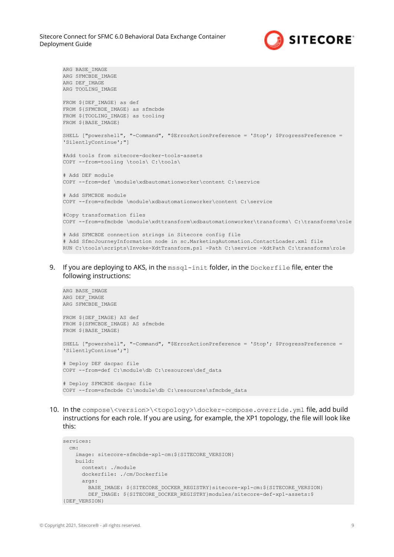

```
ARG BASE_IMAGE
ARG SFMCBDE IMAGE
ARG DEF IMAGE
ARG TOOLING_IMAGE
FROM ${DEF IMAGE} as def
FROM ${SFMCBDE IMAGE} as sfmcbde
FROM ${TOOLING_IMAGE} as tooling
FROM ${BASE IMAGE}
SHELL ["powershell", "-Command", "$ErrorActionPreference = 'Stop'; $ProgressPreference = 
'SilentlyContinue';"]
#Add tools from sitecore-docker-tools-assets
COPY --from=tooling \tools\ C:\tools\
# Add DEF module
COPY --from=def \module\xdbautomationworker\content C:\service
# Add SFMCBDE module
COPY --from=sfmcbde \module\xdbautomationworker\content C:\service
#Copy transformation files
COPY --from=sfmcbde \module\xdttransform\xdbautomationworker\transforms\ C:\transforms\role
# Add SFMCBDE connection strings in Sitecore config file
# Add SfmcJourneyInformation node in sc.MarketingAutomation.ContactLoader.xml file
RUN C:\tools\scripts\Invoke-XdtTransform.ps1 -Path C:\service -XdtPath C:\transforms\role
```
9. If you are deploying to AKS, in the  $msq1$ -init folder, in the  $Dockerfile$  file, enter the following instructions:

```
ARG BASE_IMAGE
ARG DEF_IMAGE
ARG SFMCBDE_IMAGE
FROM ${DEF_IMAGE} AS def
FROM ${SFMCBDE_IMAGE} AS sfmcbde
FROM ${BASE IMAGE}
SHELL ["powershell", "-Command", "$ErrorActionPreference = 'Stop'; $ProgressPreference = 
'SilentlyContinue';"]
# Deploy DEF dacpac file
COPY --from=def C:\module\db C:\resources\def data
# Deploy SFMCBDE dacpac file
COPY --from=sfmcbde C:\module\db C:\resources\sfmcbde_data
```
10. In the compose\<version>\<topology>\docker-compose.override.yml file, add build instructions for each role. If you are using, for example, the XP1 topology, the file will look like this:

```
services: 
  cm: 
    image: sitecore-sfmcbde-xp1-cm:${SITECORE_VERSION} 
    build: 
       context: ./module 
       dockerfile: ./cm/Dockerfile 
      args: 
       BASE IMAGE: ${SITECORE DOCKER REGISTRY}sitecore-xp1-cm:${SITECORE VERSION}
        DEF IMAGE: ${SITECORE DOCKER REGISTRY}modules/sitecore-def-xp1-assets:$
{DEF_VERSION}
```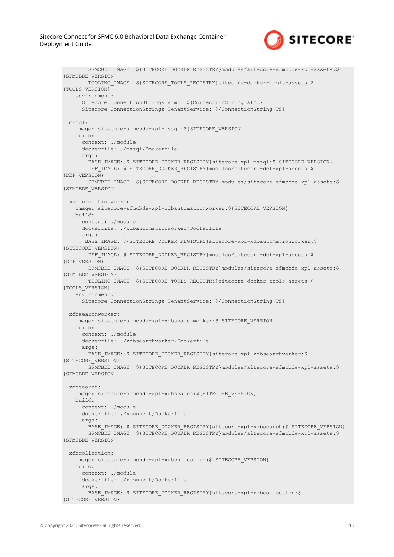

```
SFMCBDE_IMAGE: ${SITECORE DOCKER_REGISTRY}modules/sitecore-sfmcbde-xp1-assets:$
{SFMCBDE_VERSION} 
       TOOLING_IMAGE: ${SITECORE_TOOLS_REGISTRY}sitecore-docker-tools-assets:$
{TOOLS_VERSION} 
    environment: 
     Sitecore ConnectionStrings_sfmc: ${ConnectionString_sfmc}
     Sitecore ConnectionStrings TenantService: ${ConnectionString TS}
  mssql: 
    image: sitecore-sfmcbde-xp1-mssql:${SITECORE_VERSION} 
    build: 
      context: ./module 
      dockerfile: ./mssql/Dockerfile 
       args: 
       BASE IMAGE: ${SITECORE DOCKER REGISTRY}sitecore-xp1-mssql:${SITECORE VERSION}
       DEF_IMAGE: ${SITECORE DOCKER REGISTRY}modules/sitecore-def-xp1-assets:$
{DEF_VERSION} 
        SFMCBDE IMAGE: ${SITECORE DOCKER REGISTRY}modules/sitecore-sfmcbde-xp1-assets:$
{SFMCBDE_VERSION} 
  xdbautomationworker: 
    image: sitecore-sfmcbde-xp1-xdbautomationworker:${SITECORE_VERSION} 
    build: 
      context: ./module 
      dockerfile: ./xdbautomationworker/Dockerfile 
      args: 
      BASE IMAGE: ${SITECORE DOCKER REGISTRY}sitecore-xp1-xdbautomationworker:$
{SITECORE_VERSION} 
       DEF_IMAGE: ${SITECORE DOCKER REGISTRY}modules/sitecore-def-xp1-assets:$
{DEF_VERSION} 
       SFMCBDE IMAGE: ${SITECORE DOCKER REGISTRY}modules/sitecore-sfmcbde-xp1-assets:$
{SFMCBDE_VERSION} 
        TOOLING_IMAGE: ${SITECORE_TOOLS_REGISTRY}sitecore-docker-tools-assets:$
{TOOLS_VERSION} 
    environment: 
     Sitecore ConnectionStrings TenantService: ${ConnectionString TS}
  xdbsearchworker: 
    image: sitecore-sfmcbde-xp1-xdbsearchworker:${SITECORE_VERSION} 
    build: 
      context: ./module 
      dockerfile: ./xdbsearchworker/Dockerfile 
     args:
       BASE IMAGE: ${SITECORE DOCKER REGISTRY}sitecore-xp1-xdbsearchworker:$
{SITECORE_VERSION} 
       SFMCBDE IMAGE: ${SITECORE DOCKER REGISTRY}modules/sitecore-sfmcbde-xp1-assets:$
{SFMCBDE_VERSION} 
  xdbsearch: 
    image: sitecore-sfmcbde-xp1-xdbsearch:${SITECORE_VERSION} 
    build: 
      context: ./module 
      dockerfile: ./xconnect/Dockerfile 
     args:
       BASE IMAGE: ${SITECORE DOCKER REGISTRY}sitecore-xp1-xdbsearch:${SITECORE VERSION}
       SFMCBDE IMAGE: ${SITECORE DOCKER REGISTRY}modules/sitecore-sfmcbde-xp1-assets:$
{SFMCBDE_VERSION} 
  xdbcollection: 
    image: sitecore-sfmcbde-xp1-xdbcollection:${SITECORE_VERSION} 
    build: 
      context: ./module 
      dockerfile: ./xconnect/Dockerfile 
     args:
       BASE IMAGE: ${SITECORE DOCKER REGISTRY}sitecore-xp1-xdbcollection:$
{SITECORE_VERSION}
```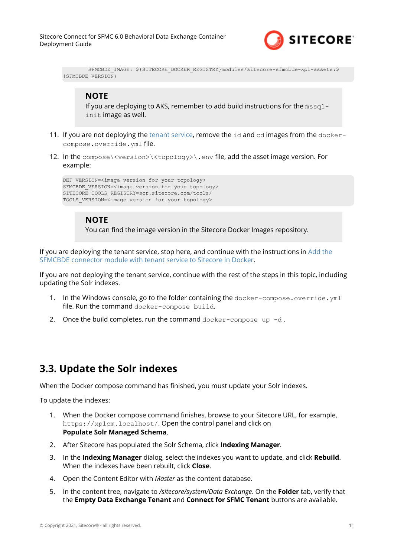

<span id="page-10-0"></span>SFMCBDE IMAGE: \${SITECORE DOCKER REGISTRY}modules/sitecore-sfmcbde-xp1-assets:\$ {SFMCBDE\_VERSION}

#### **NOTE**

If you are deploying to AKS, remember to add build instructions for the mssqlinit image as well.

- 11. If you are not deploying the [tenant service](#page-12-0), remove the  $id$  and  $cd$  images from the  $docker$ compose.override.yml file.
- 12. In the compose\<version>\<topology>\.env file, add the asset image version. For example:

```
DEF VERSION=<image version for your topology>
SFMCBDE VERSION=<image version for your topology>
SITECORE_TOOLS_REGISTRY=scr.sitecore.com/tools/
TOOLS_VERSION=<image version for your topology>
```
#### **NOTE**

You can find the image version in the Sitecore Docker Images repository.

If you are deploying the tenant service, stop here, and continue with the instructions in [Add the](#page-12-0) [SFMCBDE connector module with tenant service to Sitecore in Docker](#page-12-0).

If you are not deploying the tenant service, continue with the rest of the steps in this topic, including updating the Solr indexes.

- 1. In the Windows console, go to the folder containing the docker-compose.override.yml file. Run the command docker-compose build.
- 2. Once the build completes, run the command  $doker-compose up -d$ .

### **3.3. Update the Solr indexes**

When the Docker compose command has finished, you must update your Solr indexes.

To update the indexes:

- 1. When the Docker compose command finishes, browse to your Sitecore URL, for example, https://xp1cm.localhost/. Open the control panel and click on **Populate Solr Managed Schema**.
- 2. After Sitecore has populated the Solr Schema, click **Indexing Manager**.
- 3. In the **Indexing Manager** dialog, select the indexes you want to update, and click **Rebuild**. When the indexes have been rebuilt, click **Close**.
- 4. Open the Content Editor with *Master* as the content database.
- 5. In the content tree, navigate to */sitecore/system/Data Exchange*. On the **Folder** tab, verify that the **Empty Data Exchange Tenant** and **Connect for SFMC Tenant** buttons are available.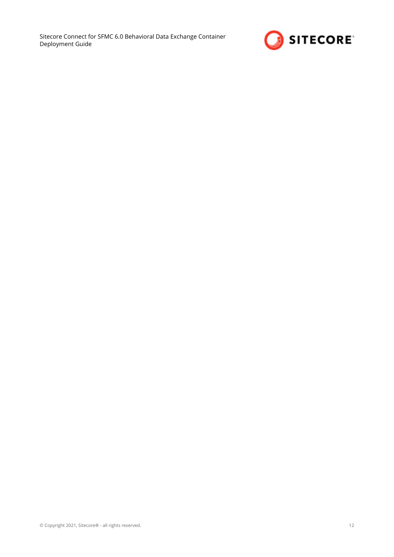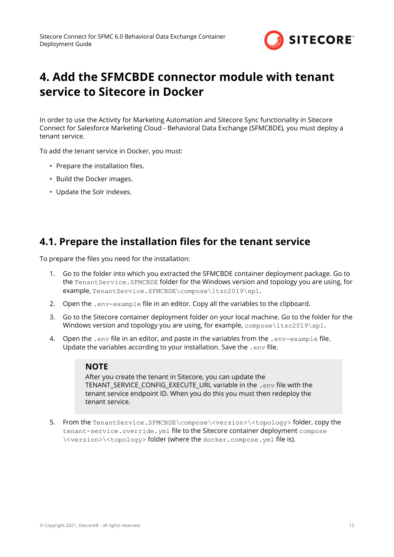

# <span id="page-12-0"></span>**4. Add the SFMCBDE connector module with tenant service to Sitecore in Docker**

In order to use the Activity for Marketing Automation and Sitecore Sync functionality in Sitecore Connect for Salesforce Marketing Cloud - Behavioral Data Exchange (SFMCBDE), you must deploy a tenant service.

To add the tenant service in Docker, you must:

- Prepare the installation files.
- Build the Docker images.
- Update the Solr indexes.

### **4.1. Prepare the installation files for the tenant service**

To prepare the files you need for the installation:

- 1. Go to the folder into which you extracted the SFMCBDE container deployment package. Go to the TenantService.SFMCBDE folder for the Windows version and topology you are using, for example, TenantService.SFMCBDE\compose\ltsc2019\xp1.
- 2. Open the .env-example file in an editor. Copy all the variables to the clipboard.
- 3. Go to the Sitecore container deployment folder on your local machine. Go to the folder for the Windows version and topology you are using, for example,  $\text{compare} \lt tsc2019\xpt \lt xpt.$
- 4. Open the .  $env$  file in an editor, and paste in the variables from the .  $env$ - $ex$ ample file. Update the variables according to your installation. Save the  $.$  env file.

#### **NOTE**

After you create the tenant in Sitecore, you can update the TENANT\_SERVICE\_CONFIG\_EXECUTE\_URL variable in the . env file with the tenant service endpoint ID. When you do this you must then redeploy the tenant service.

5. From the TenantService.SFMCBDE\compose\<version>\<topology> folder, copy the tenant-service.override.yml file to the Sitecore container deployment compose \<version>\<topology> folder (where the docker.compose.yml file is).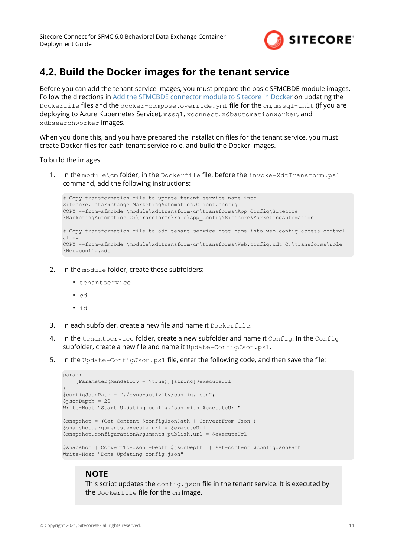

### <span id="page-13-0"></span>**4.2. Build the Docker images for the tenant service**

Before you can add the tenant service images, you must prepare the basic SFMCBDE module images. Follow the directions in [Add the SFMCBDE connector module to Sitecore in Docker](#page-5-0) on updating the Dockerfile files and the docker-compose.override.yml file for the cm, mssql-init (if you are deploying to Azure Kubernetes Service), mssql, xconnect, xdbautomationworker, and xdbsearchworker images.

When you done this, and you have prepared the installation files for the tenant service, you must create Docker files for each tenant service role, and build the Docker images.

To build the images:

1. In the module\cm folder, in the Dockerfile file, before the invoke-XdtTransform.ps1 command, add the following instructions:

```
# Copy transformation file to update tenant service name into 
Sitecore.DataExchange.MarketingAutomation.Client.config
COPY --from=sfmcbde \module\xdttransform\cm\transforms\App_Config\Sitecore
\MarketingAutomation C:\transforms\role\App_Config\Sitecore\MarketingAutomation
# Copy transformation file to add tenant service host name into web.config access control 
allow
COPY --from=sfmcbde \module\xdttransform\cm\transforms\Web.config.xdt C:\transforms\role
\Web.config.xdt
```
- 2. In the module folder, create these subfolders:
	- tenantservice
	- cd
	- id
- 3. In each subfolder, create a new file and name it Dockerfile.
- 4. In the tenantservice folder, create a new subfolder and name it Config. In the Config subfolder, create a new file and name it Update-ConfigJson.ps1.
- 5. In the Update-ConfigJson.ps1 file, enter the following code, and then save the file:

```
param(
    [Parameter(Mandatory = $true)][string]$executeUrl
)
$configJsonPath = "./sync-activity/config.json";
$jsonDepth = 20
Write-Host "Start Updating config.json with $executeUrl"
$snapshot = (Get-Content $configJsonPath | ConvertFrom-Json )
$snapshot.arguments.execute.url = $executeUrl
$snapshot.configurationArguments.publish.url = $executeUrl
$snapshot | ConvertTo-Json -Depth $jsonDepth | set-content $configJsonPath
Write-Host "Done Updating config.json"
```
#### **NOTE**

This script updates the  $config$ .json file in the tenant service. It is executed by the Dockerfile file for the cm image.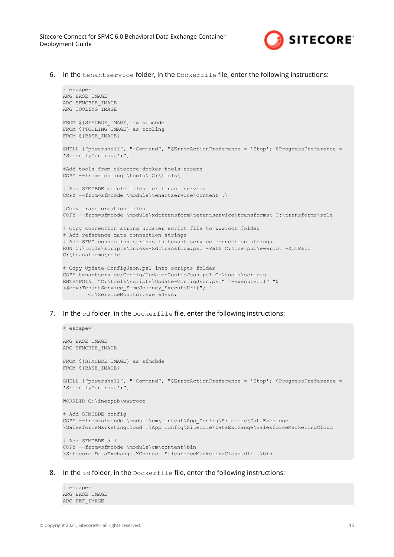

6. In the tenantservice folder, in the Dockerfile file, enter the following instructions:

```
# escape=`
ARG BASE_IMAGE
ARG SFMCBDE_IMAGE
ARG TOOLING_IMAGE
FROM ${SFMCBDE IMAGE} as sfmcbde
FROM ${TOOLING IMAGE} as tooling
FROM ${BASE IMAGE}
SHELL ["powershell", "-Command", "$ErrorActionPreference = 'Stop'; $ProgressPreference = 
'SilentlyContinue';"]
#Add tools from sitecore-docker-tools-assets
COPY --from=tooling \tools\ C:\tools\
# Add SFMCBDE module files for tenant service
COPY --from=sfmcbde \module\tenantservice\content .\
#Copy transformation files
COPY --from=sfmcbde \module\xdttransform\tenantservice\transforms\ C:\transforms\role
# Copy connection string updater script file to wwwroot folder
# Add reference data connection strings
# Add SFMC connection strings in tenant service connection strings
RUN C:\tools\scripts\Invoke-XdtTransform.ps1 -Path C:\inetpub\wwwroot -XdtPath 
C:\transforms\role
# Copy Update-ConfigJson.ps1 into scripts folder 
COPY tenantservice/Config/Update-ConfigJson.ps1 C:\tools\scripts 
ENTRYPOINT "C:\tools\scripts\Update-ConfigJson.ps1" "-executeUrl" "$
($env:TenantService_SfmcJourney_ExecuteUrl)"; ` 
         C:\ServiceMonitor.exe w3svc;
```
7. In the cd folder, in the Dockerfile file, enter the following instructions:

```
# escape=`
ARG BASE_IMAGE
ARG SFMCBDE_IMAGE
FROM ${SFMCBDE_IMAGE} as sfmcbde
FROM ${BASE IMAGE}
SHELL ["powershell", "-Command", "$ErrorActionPreference = 'Stop'; $ProgressPreference = 
'SilentlyContinue';"]
WORKDIR C:\inetpub\wwwroot
# Add SFMCBDE config
COPY --from=sfmcbde \module\cm\content\App_Config\Sitecore\DataExchange
\SalesforceMarketingCloud .\App_Config\Sitecore\DataExchange\SalesforceMarketingCloud
# Add SFMCBDE dll
COPY --from=sfmcbde \module\cm\content\bin
\Sitecore.DataExchange.XConnect.SalesforceMarketingCloud.dll .\bin
```
- 8. In the id folder, in the Dockerfile file, enter the following instructions:
	- # escape=` ARG BASE\_IMAGE ARG DEF\_IMAGE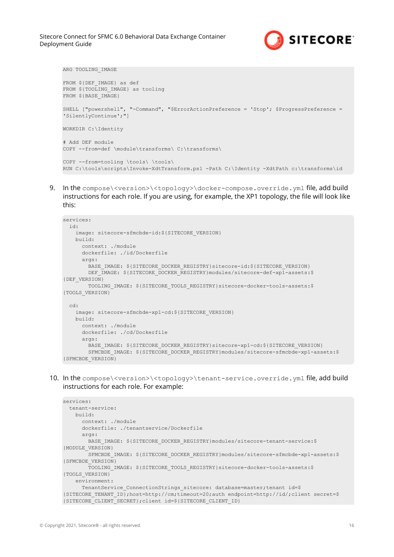

```
ARG TOOLING_IMAGE
```

```
FROM ${DEF IMAGE} as def
FROM ${TOOLING IMAGE} as tooling
FROM ${BASE_IMAGE}
SHELL ["powershell", "-Command", "$ErrorActionPreference = 'Stop'; $ProgressPreference = 
'SilentlyContinue';"]
WORKDIR C:\Identity
# Add DEF module
COPY --from=def \module\transforms\ C:\transforms\
COPY --from=tooling \tools\ \tools\
RUN C:\tools\scripts\Invoke-XdtTransform.ps1 -Path C:\Identity -XdtPath c:\transforms\id
```
9. In the compose\<version>\<topology>\docker-compose.override.yml file, add build instructions for each role. If you are using, for example, the XP1 topology, the file will look like this:

```
services: 
   id: 
    image: sitecore-sfmcbde-id:${SITECORE_VERSION} 
    build: 
      context: ./module 
       dockerfile: ./id/Dockerfile 
      args:
       BASE IMAGE: ${SITECORE DOCKER REGISTRY}sitecore-id:${SITECORE VERSION}
       DEF IMAGE: ${SITECORE DOCKER REGISTRY}modules/sitecore-def-xp1-assets:$
{DEF_VERSION} 
        TOOLING IMAGE: ${SITECORE TOOLS REGISTRY}sitecore-docker-tools-assets:$
{TOOLS_VERSION} 
  cd: 
    image: sitecore-sfmcbde-xp1-cd:${SITECORE_VERSION} 
    build: 
      context: ./module 
      dockerfile: ./cd/Dockerfile 
     args:
        BASE IMAGE: ${SITECORE DOCKER REGISTRY}sitecore-xp1-cd:${SITECORE VERSION}
       SFMCBDE IMAGE: ${SITECORE DOCKER REGISTRY}modules/sitecore-sfmcbde-xp1-assets:$
{SFMCBDE_VERSION}
```
10. In the compose\<version>\<topology>\tenant-service.override.yml file, add build instructions for each role. For example:

```
services: 
  tenant-service: 
    build: 
      context: ./module 
      dockerfile: ./tenantservice/Dockerfile 
      args: 
       BASE IMAGE: ${SITECORE DOCKER REGISTRY}modules/sitecore-tenant-service:$
{MODULE_VERSION} 
       SFMCBDE IMAGE: ${SITECORE DOCKER REGISTRY}modules/sitecore-sfmcbde-xp1-assets:$
{SFMCBDE_VERSION} 
        TOOLING_IMAGE: ${SITECORE_TOOLS_REGISTRY}sitecore-docker-tools-assets:$
{TOOLS_VERSION} 
    environment: 
     TenantService ConnectionStrings sitecore: database=master;tenant id=$
{SITECORE_TENANT_ID};host=http://cm;timeout=20;auth endpoint=http://id/;client secret=$
{SITECORE_CLIENT_SECRET};client id=${SITECORE_CLIENT_ID}
```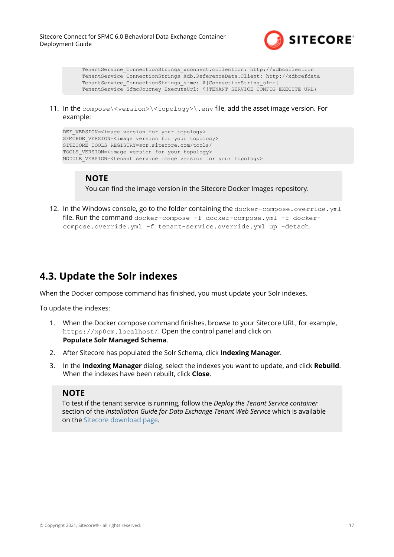

```
 TenantService_ConnectionStrings_xconnect.collection: http://xdbcollection 
 TenantService_ConnectionStrings_Xdb.ReferenceData.Client: http://xdbrefdata 
 TenantService_ConnectionStrings_sfmc: ${ConnectionString_sfmc} 
TenantService SfmcJourney ExecuteUrl: ${TENANT SERVICE CONFIG EXECUTE URL}
```
11. In the compose\<version>\<topology>\.env file, add the asset image version. For example:

```
DEF VERSION=<image version for your topology>
SFMCBDE_VERSION=<image version for your topology>
SITECORE_TOOLS_REGISTRY=scr.sitecore.com/tools/
TOOLS_VERSION=<image version for your topology>
MODULE_VERSION=<tenant service image version for your topology>
```
#### **NOTE**

You can find the image version in the Sitecore Docker Images repository.

12. In the Windows console, go to the folder containing the docker-compose.override.yml file. Run the command docker-compose -f docker-compose.yml -f dockercompose.override.yml -f tenant-service.override.yml up –detach.

## **4.3. Update the Solr indexes**

When the Docker compose command has finished, you must update your Solr indexes.

To update the indexes:

- 1. When the Docker compose command finishes, browse to your Sitecore URL, for example, https://xp0cm.localhost/. Open the control panel and click on **Populate Solr Managed Schema**.
- 2. After Sitecore has populated the Solr Schema, click **Indexing Manager**.
- 3. In the **Indexing Manager** dialog, select the indexes you want to update, and click **Rebuild**. When the indexes have been rebuilt, click **Close**.

#### **NOTE**

To test if the tenant service is running, follow the *Deploy the Tenant Service container* section of the *Installation Guide for Data Exchange Tenant Web Service* which is available on the [Sitecore download page.](https://dev.sitecore.net/Downloads/)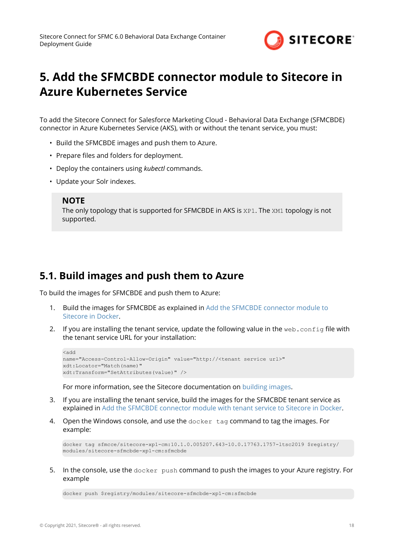

# <span id="page-17-0"></span>**5. Add the SFMCBDE connector module to Sitecore in Azure Kubernetes Service**

To add the Sitecore Connect for Salesforce Marketing Cloud - Behavioral Data Exchange (SFMCBDE) connector in Azure Kubernetes Service (AKS), with or without the tenant service, you must:

- Build the SFMCBDE images and push them to Azure.
- Prepare files and folders for deployment.
- Deploy the containers using *kubectl* commands.
- Update your Solr indexes.

#### **NOTE**

The only topology that is supported for SFMCBDE in AKS is XP1. The XM1 topology is not supported.

### **5.1. Build images and push them to Azure**

To build the images for SFMCBDE and push them to Azure:

- 1. Build the images for SFMCBDE as explained in [Add the SFMCBDE connector module to](#page-5-0) [Sitecore in Docker.](#page-5-0)
- 2. If you are installing the tenant service, update the following value in the web.config file with the tenant service URL for your installation:

```
<add
name="Access-Control-Allow-Origin" value="http://<tenant service url>"
xdt:Locator="Match(name)"
xdt:Transform="SetAttributes(value)" />
```
For more information, see the Sitecore documentation on [building images.](https://doc.sitecore.com/developers/101/developer-tools/en/building-custom-sitecore-images.html)

- 3. If you are installing the tenant service, build the images for the SFMCBDE tenant service as explained in [Add the SFMCBDE connector module with tenant service to Sitecore in Docker.](#page-12-0)
- 4. Open the Windows console, and use the docker tag command to tag the images. For example:

```
docker tag sfmcce/sitecore-xp1-cm:10.1.0.005207.643-10.0.17763.1757-ltsc2019 $registry/
modules/sitecore-sfmcbde-xp1-cm:sfmcbde
```
5. In the console, use the docker push command to push the images to your Azure registry. For example

docker push \$registry/modules/sitecore-sfmcbde-xp1-cm:sfmcbde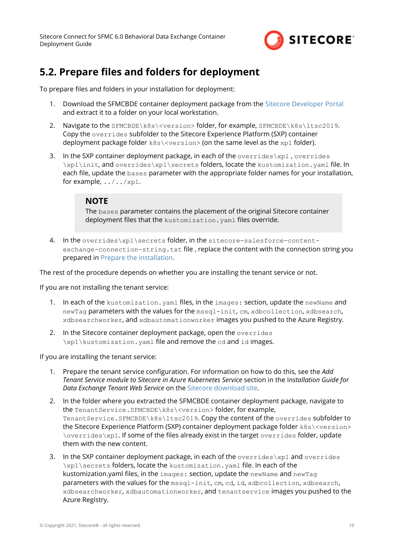

## <span id="page-18-0"></span>**5.2. Prepare files and folders for deployment**

To prepare files and folders in your installation for deployment:

- 1. Download the SFMCBDE container deployment package from the [Sitecore Developer Portal](https://dev.sitecore.net/) and extract it to a folder on your local workstation.
- 2. Navigate to the SFMCBDE\k8s\<version>folder, for example, SFMCBDE\k8s\ltsc2019. Copy the overrides subfolder to the Sitecore Experience Platform (SXP) container deployment package folder  $k8s\langle\langle version\rangle$  (on the same level as the  $xpl$  folder).
- 3. In the SXP container deployment package, in each of the overrides \xp1 , overrides \xp1\init, and overrides\xp1\secrets folders, locate the kustomization.yaml file. In each file, update the bases parameter with the appropriate folder names for your installation, for example,  $\ldots / \ldots / \mathrm{xp1}.$

#### **NOTE**

The bases parameter contains the placement of the original Sitecore container deployment files that the kustomization. yaml files override.

4. In the overrides\xp1\secrets folder, in the sitecore-salesforce-contentexchange-connection-string.txt file, replace the content with the connection string you prepared in Prepare the installation.

The rest of the procedure depends on whether you are installing the tenant service or not.

If you are not installing the tenant service:

- 1. In each of the kustomization. yaml files, in the images: section, update the newName and newTag parameters with the values for the mssql-init, cm, xdbcollection, xdbsearch, xdbsearchworker, and xdbautomationworker images you pushed to the Azure Registry.
- 2. In the Sitecore container deployment package, open the overrides \xp1\kustomization.yaml file and remove the cd and id images.

If you are installing the tenant service:

- 1. Prepare the tenant service configuration. For information on how to do this, see the *Add Tenant Service module to Sitecore in Azure Kubernetes Service* section in the I*nstallation Guide for Data Exchange Tenant Web Service* on the [Sitecore download site](https://dev.sitecore.net/Downloads/).
- 2. In the folder where you extracted the SFMCBDE container deployment package, navigate to the TenantService.SFMCBDE\k8s\<version> folder, for example, TenantService.SFMCBDE\k8s\ltsc2019. Copy the content of the overrides subfolder to the Sitecore Experience Platform (SXP) container deployment package folder k8s\<version> \overrides\xp1. If some of the files already exist in the target overrides folder, update them with the new content.
- 3. In the SXP container deployment package, in each of the overrides  $\x$ rl and overrides \xp1\secrets folders, locate the kustomization. yaml file. In each of the kustomization.yaml files, in the  $\Delta$ images: section, update the newName and newTag parameters with the values for the mssql-init, cm, cd, id, xdbcollection, xdbsearch, xdbsearchworker, xdbautomationworker, and tenantservice images you pushed to the Azure Registry.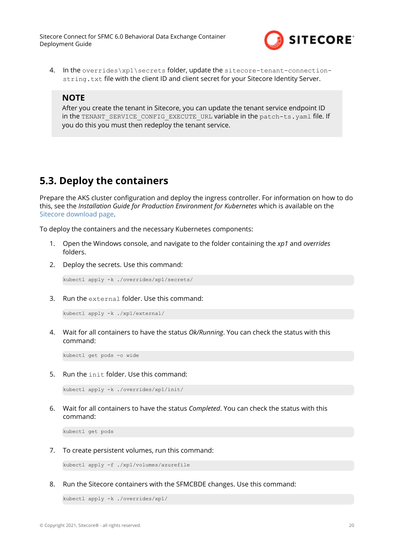

<span id="page-19-0"></span>4. In the overrides\xp1\secrets folder, update the sitecore-tenant-connectionstring.txt file with the client ID and client secret for your Sitecore Identity Server.

#### **NOTE**

After you create the tenant in Sitecore, you can update the tenant service endpoint ID in the TENANT\_SERVICE\_CONFIG\_EXECUTE\_URL variable in the patch-ts.yaml file. If you do this you must then redeploy the tenant service.

### **5.3. Deploy the containers**

Prepare the AKS cluster configuration and deploy the ingress controller. For information on how to do this, see the *Installation Guide for Production Environment for Kubernetes* which is available on the [Sitecore download page.](https://dev.sitecore.net/Downloads/)

To deploy the containers and the necessary Kubernetes components:

- 1. Open the Windows console, and navigate to the folder containing the *xp1* and *overrides* folders.
- 2. Deploy the secrets. Use this command:

```
kubectl apply -k ./overrides/xp1/secrets/
```
3. Run the external folder. Use this command:

```
kubectl apply -k ./xp1/external/
```
4. Wait for all containers to have the status *Ok/Running*. You can check the status with this command:

kubectl get pods -o wide

5. Run the init folder. Use this command:

kubectl apply -k ./overrides/xp1/init/

6. Wait for all containers to have the status *Completed*. You can check the status with this command:

kubectl get pods

7. To create persistent volumes, run this command:

```
kubectl apply -f ./xp1/volumes/azurefile
```
8. Run the Sitecore containers with the SFMCBDE changes. Use this command:

```
kubectl apply -k ./overrides/xp1/
```